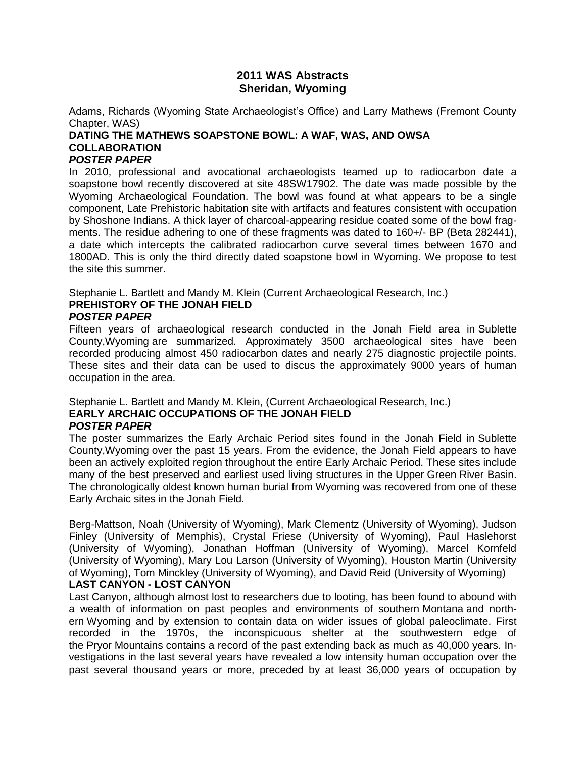### **2011 WAS Abstracts Sheridan, Wyoming**

Adams, Richards (Wyoming State Archaeologist's Office) and Larry Mathews (Fremont County Chapter, WAS)

# **DATING THE MATHEWS SOAPSTONE BOWL: A WAF, WAS, AND OWSA COLLABORATION**

### *POSTER PAPER*

In 2010, professional and avocational archaeologists teamed up to radiocarbon date a soapstone bowl recently discovered at site 48SW17902. The date was made possible by the Wyoming Archaeological Foundation. The bowl was found at what appears to be a single component, Late Prehistoric habitation site with artifacts and features consistent with occupation by Shoshone Indians. A thick layer of charcoal-appearing residue coated some of the bowl fragments. The residue adhering to one of these fragments was dated to 160+/- BP (Beta 282441), a date which intercepts the calibrated radiocarbon curve several times between 1670 and 1800AD. This is only the third directly dated soapstone bowl in Wyoming. We propose to test the site this summer.

Stephanie L. Bartlett and Mandy M. Klein (Current Archaeological Research, Inc.) **PREHISTORY OF THE JONAH FIELD** *POSTER PAPER*

Fifteen years of archaeological research conducted in the Jonah Field area in Sublette County,Wyoming are summarized. Approximately 3500 archaeological sites have been recorded producing almost 450 radiocarbon dates and nearly 275 diagnostic projectile points. These sites and their data can be used to discus the approximately 9000 years of human occupation in the area.

### Stephanie L. Bartlett and Mandy M. Klein, (Current Archaeological Research, Inc.) **EARLY ARCHAIC OCCUPATIONS OF THE JONAH FIELD** *POSTER PAPER*

The poster summarizes the Early Archaic Period sites found in the Jonah Field in Sublette County,Wyoming over the past 15 years. From the evidence, the Jonah Field appears to have been an actively exploited region throughout the entire Early Archaic Period. These sites include many of the best preserved and earliest used living structures in the Upper Green River Basin. The chronologically oldest known human burial from Wyoming was recovered from one of these Early Archaic sites in the Jonah Field.

Berg-Mattson, Noah (University of Wyoming), Mark Clementz (University of Wyoming), Judson Finley (University of Memphis), Crystal Friese (University of Wyoming), Paul Haslehorst (University of Wyoming), Jonathan Hoffman (University of Wyoming), Marcel Kornfeld (University of Wyoming), Mary Lou Larson (University of Wyoming), Houston Martin (University of Wyoming), Tom Minckley (University of Wyoming), and David Reid (University of Wyoming) **LAST CANYON - LOST CANYON**

Last Canyon, although almost lost to researchers due to looting, has been found to abound with a wealth of information on past peoples and environments of southern Montana and northern Wyoming and by extension to contain data on wider issues of global paleoclimate. First recorded in the 1970s, the inconspicuous shelter at the southwestern edge of the Pryor Mountains contains a record of the past extending back as much as 40,000 years. Investigations in the last several years have revealed a low intensity human occupation over the past several thousand years or more, preceded by at least 36,000 years of occupation by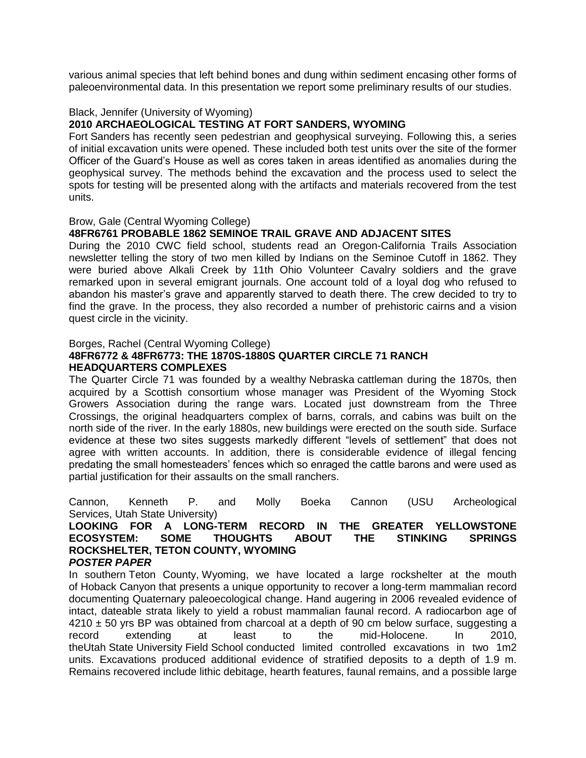various animal species that left behind bones and dung within sediment encasing other forms of paleoenvironmental data. In this presentation we report some preliminary results of our studies.

### Black, Jennifer (University of Wyoming)

### **2010 ARCHAEOLOGICAL TESTING AT FORT SANDERS, WYOMING**

Fort Sanders has recently seen pedestrian and geophysical surveying. Following this, a series of initial excavation units were opened. These included both test units over the site of the former Officer of the Guard's House as well as cores taken in areas identified as anomalies during the geophysical survey. The methods behind the excavation and the process used to select the spots for testing will be presented along with the artifacts and materials recovered from the test units.

#### Brow, Gale (Central Wyoming College)

### **48FR6761 PROBABLE 1862 SEMINOE TRAIL GRAVE AND ADJACENT SITES**

During the 2010 CWC field school, students read an Oregon-California Trails Association newsletter telling the story of two men killed by Indians on the Seminoe Cutoff in 1862. They were buried above Alkali Creek by 11th Ohio Volunteer Cavalry soldiers and the grave remarked upon in several emigrant journals. One account told of a loyal dog who refused to abandon his master's grave and apparently starved to death there. The crew decided to try to find the grave. In the process, they also recorded a number of prehistoric cairns and a vision quest circle in the vicinity.

#### Borges, Rachel (Central Wyoming College)

### **48FR6772 & 48FR6773: THE 1870S-1880S QUARTER CIRCLE 71 RANCH HEADQUARTERS COMPLEXES**

The Quarter Circle 71 was founded by a wealthy Nebraska cattleman during the 1870s, then acquired by a Scottish consortium whose manager was President of the Wyoming Stock Growers Association during the range wars. Located just downstream from the Three Crossings, the original headquarters complex of barns, corrals, and cabins was built on the north side of the river. In the early 1880s, new buildings were erected on the south side. Surface evidence at these two sites suggests markedly different "levels of settlement" that does not agree with written accounts. In addition, there is considerable evidence of illegal fencing predating the small homesteaders' fences which so enraged the cattle barons and were used as partial justification for their assaults on the small ranchers.

Cannon, Kenneth P. and Molly Boeka Cannon (USU Archeological Services, Utah State University)

#### **LOOKING FOR A LONG-TERM RECORD IN THE GREATER YELLOWSTONE ECOSYSTEM: SOME THOUGHTS ABOUT THE STINKING SPRINGS ROCKSHELTER, TETON COUNTY, WYOMING** *POSTER PAPER*

In southern Teton County, Wyoming, we have located a large rockshelter at the mouth of Hoback Canyon that presents a unique opportunity to recover a long-term mammalian record documenting Quaternary paleoecological change. Hand augering in 2006 revealed evidence of intact, dateable strata likely to yield a robust mammalian faunal record. A radiocarbon age of  $4210 \pm 50$  yrs BP was obtained from charcoal at a depth of 90 cm below surface, suggesting a record extending at least to the mid-Holocene. In 2010, theUtah State University Field School conducted limited controlled excavations in two 1m2 units. Excavations produced additional evidence of stratified deposits to a depth of 1.9 m. Remains recovered include lithic debitage, hearth features, faunal remains, and a possible large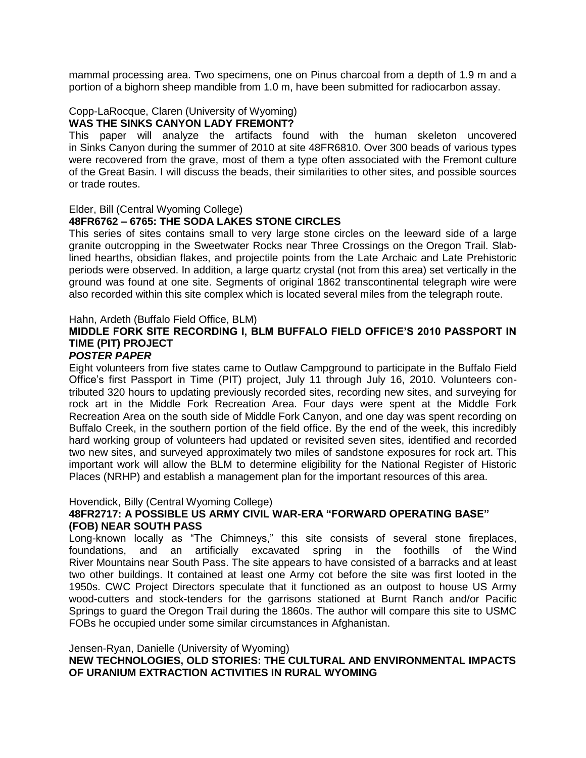mammal processing area. Two specimens, one on Pinus charcoal from a depth of 1.9 m and a portion of a bighorn sheep mandible from 1.0 m, have been submitted for radiocarbon assay.

### Copp-LaRocque, Claren (University of Wyoming)

### **WAS THE SINKS CANYON LADY FREMONT?**

This paper will analyze the artifacts found with the human skeleton uncovered in Sinks Canyon during the summer of 2010 at site 48FR6810. Over 300 beads of various types were recovered from the grave, most of them a type often associated with the Fremont culture of the Great Basin. I will discuss the beads, their similarities to other sites, and possible sources or trade routes.

#### Elder, Bill (Central Wyoming College)

### **48FR6762 – 6765: THE SODA LAKES STONE CIRCLES**

This series of sites contains small to very large stone circles on the leeward side of a large granite outcropping in the Sweetwater Rocks near Three Crossings on the Oregon Trail. Slablined hearths, obsidian flakes, and projectile points from the Late Archaic and Late Prehistoric periods were observed. In addition, a large quartz crystal (not from this area) set vertically in the ground was found at one site. Segments of original 1862 transcontinental telegraph wire were also recorded within this site complex which is located several miles from the telegraph route.

#### Hahn, Ardeth (Buffalo Field Office, BLM)

## **MIDDLE FORK SITE RECORDING I, BLM BUFFALO FIELD OFFICE'S 2010 PASSPORT IN TIME (PIT) PROJECT**

### *POSTER PAPER*

Eight volunteers from five states came to Outlaw Campground to participate in the Buffalo Field Office's first Passport in Time (PIT) project, July 11 through July 16, 2010. Volunteers contributed 320 hours to updating previously recorded sites, recording new sites, and surveying for rock art in the Middle Fork Recreation Area. Four days were spent at the Middle Fork Recreation Area on the south side of Middle Fork Canyon, and one day was spent recording on Buffalo Creek, in the southern portion of the field office. By the end of the week, this incredibly hard working group of volunteers had updated or revisited seven sites, identified and recorded two new sites, and surveyed approximately two miles of sandstone exposures for rock art. This important work will allow the BLM to determine eligibility for the National Register of Historic Places (NRHP) and establish a management plan for the important resources of this area.

#### Hovendick, Billy (Central Wyoming College)

### **48FR2717: A POSSIBLE US ARMY CIVIL WAR-ERA "FORWARD OPERATING BASE" (FOB) NEAR SOUTH PASS**

Long-known locally as "The Chimneys," this site consists of several stone fireplaces, foundations, and an artificially excavated spring in the foothills of the Wind River Mountains near South Pass. The site appears to have consisted of a barracks and at least two other buildings. It contained at least one Army cot before the site was first looted in the 1950s. CWC Project Directors speculate that it functioned as an outpost to house US Army wood-cutters and stock-tenders for the garrisons stationed at Burnt Ranch and/or Pacific Springs to guard the Oregon Trail during the 1860s. The author will compare this site to USMC FOBs he occupied under some similar circumstances in Afghanistan.

#### Jensen-Ryan, Danielle (University of Wyoming)

**NEW TECHNOLOGIES, OLD STORIES: THE CULTURAL AND ENVIRONMENTAL IMPACTS OF URANIUM EXTRACTION ACTIVITIES IN RURAL WYOMING**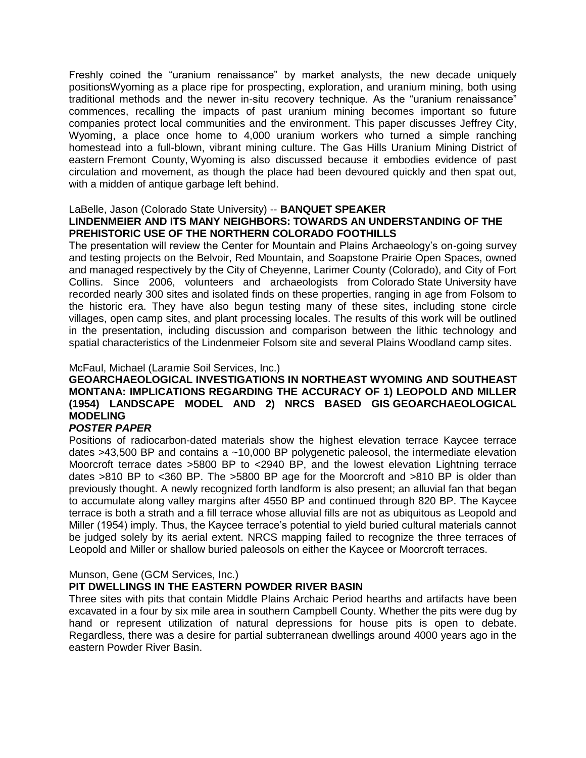Freshly coined the "uranium renaissance" by market analysts, the new decade uniquely positionsWyoming as a place ripe for prospecting, exploration, and uranium mining, both using traditional methods and the newer in-situ recovery technique. As the "uranium renaissance" commences, recalling the impacts of past uranium mining becomes important so future companies protect local communities and the environment. This paper discusses Jeffrey City, Wyoming, a place once home to 4,000 uranium workers who turned a simple ranching homestead into a full-blown, vibrant mining culture. The Gas Hills Uranium Mining District of eastern Fremont County, Wyoming is also discussed because it embodies evidence of past circulation and movement, as though the place had been devoured quickly and then spat out, with a midden of antique garbage left behind.

### LaBelle, Jason (Colorado State University) -- **BANQUET SPEAKER LINDENMEIER AND ITS MANY NEIGHBORS: TOWARDS AN UNDERSTANDING OF THE PREHISTORIC USE OF THE NORTHERN COLORADO FOOTHILLS**

The presentation will review the Center for Mountain and Plains Archaeology's on-going survey and testing projects on the Belvoir, Red Mountain, and Soapstone Prairie Open Spaces, owned and managed respectively by the City of Cheyenne, Larimer County (Colorado), and City of Fort Collins. Since 2006, volunteers and archaeologists from Colorado State University have recorded nearly 300 sites and isolated finds on these properties, ranging in age from Folsom to the historic era. They have also begun testing many of these sites, including stone circle villages, open camp sites, and plant processing locales. The results of this work will be outlined in the presentation, including discussion and comparison between the lithic technology and spatial characteristics of the Lindenmeier Folsom site and several Plains Woodland camp sites.

### McFaul, Michael (Laramie Soil Services, Inc.)

### **GEOARCHAEOLOGICAL INVESTIGATIONS IN NORTHEAST WYOMING AND SOUTHEAST MONTANA: IMPLICATIONS REGARDING THE ACCURACY OF 1) LEOPOLD AND MILLER (1954) LANDSCAPE MODEL AND 2) NRCS BASED GIS GEOARCHAEOLOGICAL MODELING**

### *POSTER PAPER*

Positions of radiocarbon-dated materials show the highest elevation terrace Kaycee terrace dates  $>43,500$  BP and contains a  $\sim$ 10,000 BP polygenetic paleosol, the intermediate elevation Moorcroft terrace dates >5800 BP to <2940 BP, and the lowest elevation Lightning terrace dates >810 BP to <360 BP. The >5800 BP age for the Moorcroft and >810 BP is older than previously thought. A newly recognized forth landform is also present; an alluvial fan that began to accumulate along valley margins after 4550 BP and continued through 820 BP. The Kaycee terrace is both a strath and a fill terrace whose alluvial fills are not as ubiquitous as Leopold and Miller (1954) imply. Thus, the Kaycee terrace's potential to yield buried cultural materials cannot be judged solely by its aerial extent. NRCS mapping failed to recognize the three terraces of Leopold and Miller or shallow buried paleosols on either the Kaycee or Moorcroft terraces.

### Munson, Gene (GCM Services, Inc.)

### **PIT DWELLINGS IN THE EASTERN POWDER RIVER BASIN**

Three sites with pits that contain Middle Plains Archaic Period hearths and artifacts have been excavated in a four by six mile area in southern Campbell County. Whether the pits were dug by hand or represent utilization of natural depressions for house pits is open to debate. Regardless, there was a desire for partial subterranean dwellings around 4000 years ago in the eastern Powder River Basin.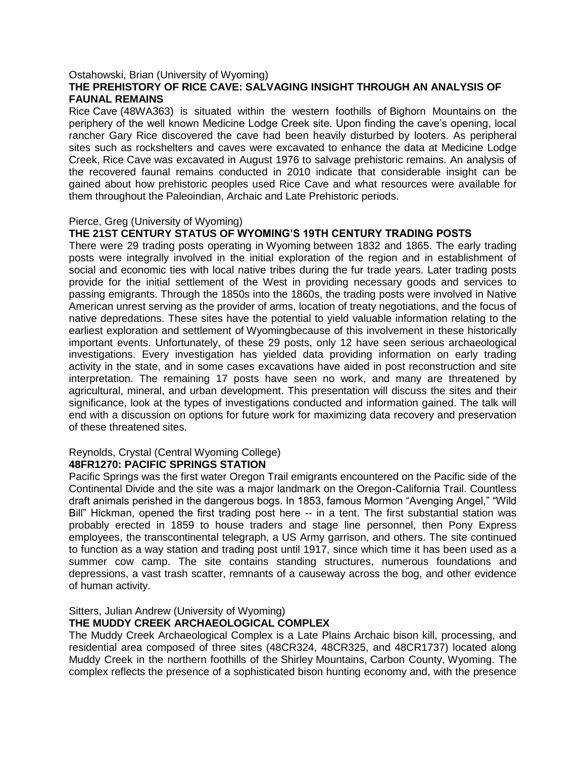#### Ostahowski, Brian (University of Wyoming)

### **THE PREHISTORY OF RICE CAVE: SALVAGING INSIGHT THROUGH AN ANALYSIS OF FAUNAL REMAINS**

Rice Cave (48WA363) is situated within the western foothills of Bighorn Mountains on the periphery of the well known Medicine Lodge Creek site. Upon finding the cave's opening, local rancher Gary Rice discovered the cave had been heavily disturbed by looters. As peripheral sites such as rockshelters and caves were excavated to enhance the data at Medicine Lodge Creek, Rice Cave was excavated in August 1976 to salvage prehistoric remains. An analysis of the recovered faunal remains conducted in 2010 indicate that considerable insight can be gained about how prehistoric peoples used Rice Cave and what resources were available for them throughout the Paleoindian, Archaic and Late Prehistoric periods.

#### Pierce, Greg (University of Wyoming)

### **THE 21ST CENTURY STATUS OF WYOMING'S 19TH CENTURY TRADING POSTS**

There were 29 trading posts operating in Wyoming between 1832 and 1865. The early trading posts were integrally involved in the initial exploration of the region and in establishment of social and economic ties with local native tribes during the fur trade years. Later trading posts provide for the initial settlement of the West in providing necessary goods and services to passing emigrants. Through the 1850s into the 1860s, the trading posts were involved in Native American unrest serving as the provider of arms, location of treaty negotiations, and the focus of native depredations. These sites have the potential to yield valuable information relating to the earliest exploration and settlement of Wyomingbecause of this involvement in these historically important events. Unfortunately, of these 29 posts, only 12 have seen serious archaeological investigations. Every investigation has yielded data providing information on early trading activity in the state, and in some cases excavations have aided in post reconstruction and site interpretation. The remaining 17 posts have seen no work, and many are threatened by agricultural, mineral, and urban development. This presentation will discuss the sites and their significance, look at the types of investigations conducted and information gained. The talk will end with a discussion on options for future work for maximizing data recovery and preservation of these threatened sites.

#### Reynolds, Crystal (Central Wyoming College) **48FR1270: PACIFIC SPRINGS STATION**

Pacific Springs was the first water Oregon Trail emigrants encountered on the Pacific side of the Continental Divide and the site was a major landmark on the Oregon-California Trail. Countless draft animals perished in the dangerous bogs. In 1853, famous Mormon "Avenging Angel," "Wild Bill" Hickman, opened the first trading post here -- in a tent. The first substantial station was probably erected in 1859 to house traders and stage line personnel, then Pony Express employees, the transcontinental telegraph, a US Army garrison, and others. The site continued to function as a way station and trading post until 1917, since which time it has been used as a summer cow camp. The site contains standing structures, numerous foundations and depressions, a vast trash scatter, remnants of a causeway across the bog, and other evidence of human activity.

#### Sitters, Julian Andrew (University of Wyoming) **THE MUDDY CREEK ARCHAEOLOGICAL COMPLEX**

The Muddy Creek Archaeological Complex is a Late Plains Archaic bison kill, processing, and residential area composed of three sites (48CR324, 48CR325, and 48CR1737) located along Muddy Creek in the northern foothills of the Shirley Mountains, Carbon County, Wyoming. The complex reflects the presence of a sophisticated bison hunting economy and, with the presence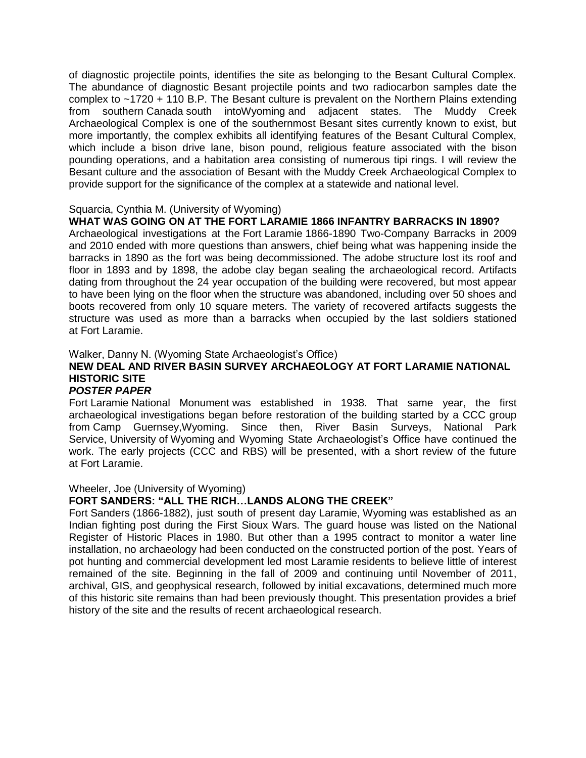of diagnostic projectile points, identifies the site as belonging to the Besant Cultural Complex. The abundance of diagnostic Besant projectile points and two radiocarbon samples date the complex to ~1720 + 110 B.P. The Besant culture is prevalent on the Northern Plains extending from southern Canada south intoWyoming and adjacent states. The Muddy Creek Archaeological Complex is one of the southernmost Besant sites currently known to exist, but more importantly, the complex exhibits all identifying features of the Besant Cultural Complex, which include a bison drive lane, bison pound, religious feature associated with the bison pounding operations, and a habitation area consisting of numerous tipi rings. I will review the Besant culture and the association of Besant with the Muddy Creek Archaeological Complex to provide support for the significance of the complex at a statewide and national level.

### Squarcia, Cynthia M. (University of Wyoming)

### **WHAT WAS GOING ON AT THE FORT LARAMIE 1866 INFANTRY BARRACKS IN 1890?**

Archaeological investigations at the Fort Laramie 1866-1890 Two-Company Barracks in 2009 and 2010 ended with more questions than answers, chief being what was happening inside the barracks in 1890 as the fort was being decommissioned. The adobe structure lost its roof and floor in 1893 and by 1898, the adobe clay began sealing the archaeological record. Artifacts dating from throughout the 24 year occupation of the building were recovered, but most appear to have been lying on the floor when the structure was abandoned, including over 50 shoes and boots recovered from only 10 square meters. The variety of recovered artifacts suggests the structure was used as more than a barracks when occupied by the last soldiers stationed at Fort Laramie.

### Walker, Danny N. (Wyoming State Archaeologist's Office)

## **NEW DEAL AND RIVER BASIN SURVEY ARCHAEOLOGY AT FORT LARAMIE NATIONAL HISTORIC SITE**

### *POSTER PAPER*

Fort Laramie National Monument was established in 1938. That same year, the first archaeological investigations began before restoration of the building started by a CCC group from Camp Guernsey,Wyoming. Since then, River Basin Surveys, National Park Service, University of Wyoming and Wyoming State Archaeologist's Office have continued the work. The early projects (CCC and RBS) will be presented, with a short review of the future at Fort Laramie.

### Wheeler, Joe (University of Wyoming)

### **FORT SANDERS: "ALL THE RICH…LANDS ALONG THE CREEK"**

Fort Sanders (1866-1882), just south of present day Laramie, Wyoming was established as an Indian fighting post during the First Sioux Wars. The guard house was listed on the National Register of Historic Places in 1980. But other than a 1995 contract to monitor a water line installation, no archaeology had been conducted on the constructed portion of the post. Years of pot hunting and commercial development led most Laramie residents to believe little of interest remained of the site. Beginning in the fall of 2009 and continuing until November of 2011, archival, GIS, and geophysical research, followed by initial excavations, determined much more of this historic site remains than had been previously thought. This presentation provides a brief history of the site and the results of recent archaeological research.